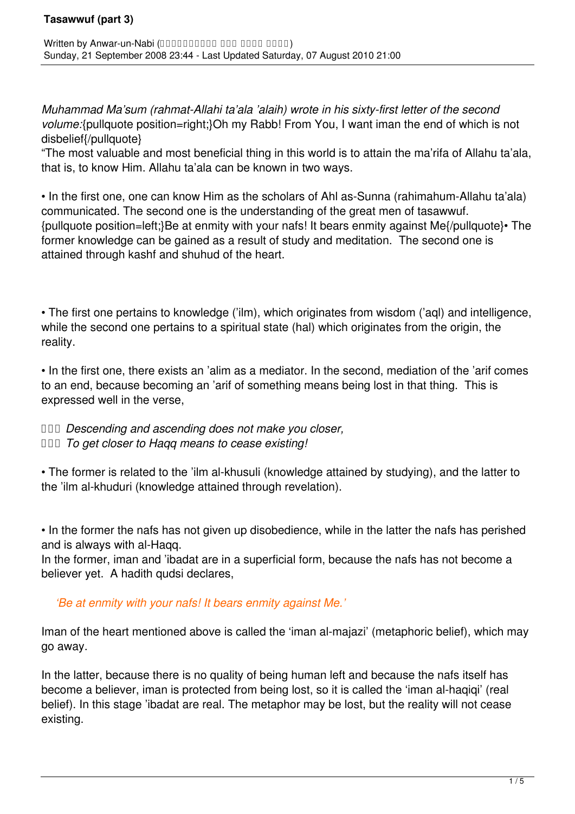*Muhammad Ma'sum (rahmat-Allahi ta'ala 'alaih) wrote in his sixty-first letter of the second volume:*{pullquote position=right;}Oh my Rabb! From You, I want iman the end of which is not disbelief{/pullquote}

"The most valuable and most beneficial thing in this world is to attain the ma'rifa of Allahu ta'ala, that is, to know Him. Allahu ta'ala can be known in two ways.

• In the first one, one can know Him as the scholars of Ahl as-Sunna (rahimahum-Allahu ta'ala) communicated. The second one is the understanding of the great men of tasawwuf. {pullquote position=left;}Be at enmity with your nafs! It bears enmity against Me{/pullquote}• The former knowledge can be gained as a result of study and meditation. The second one is attained through kashf and shuhud of the heart.

• The first one pertains to knowledge ('ilm), which originates from wisdom ('aql) and intelligence, while the second one pertains to a spiritual state (hal) which originates from the origin, the reality.

• In the first one, there exists an 'alim as a mediator. In the second, mediation of the 'arif comes to an end, because becoming an 'arif of something means being lost in that thing. This is expressed well in the verse,

 *Descending and ascending does not make you closer, To get closer to Haqq means to cease existing!*

• The former is related to the 'ilm al-khusuli (knowledge attained by studying), and the latter to the 'ilm al-khuduri (knowledge attained through revelation).

• In the former the nafs has not given up disobedience, while in the latter the nafs has perished and is always with al-Haqq.

In the former, iman and 'ibadat are in a superficial form, because the nafs has not become a believer yet. A hadith qudsi declares,

*'Be at enmity with your nafs! It bears enmity against Me.'*

Iman of the heart mentioned above is called the 'iman al-majazi' (metaphoric belief), which may go away.

In the latter, because there is no quality of being human left and because the nafs itself has become a believer, iman is protected from being lost, so it is called the 'iman al-haqiqi' (real belief). In this stage 'ibadat are real. The metaphor may be lost, but the reality will not cease existing.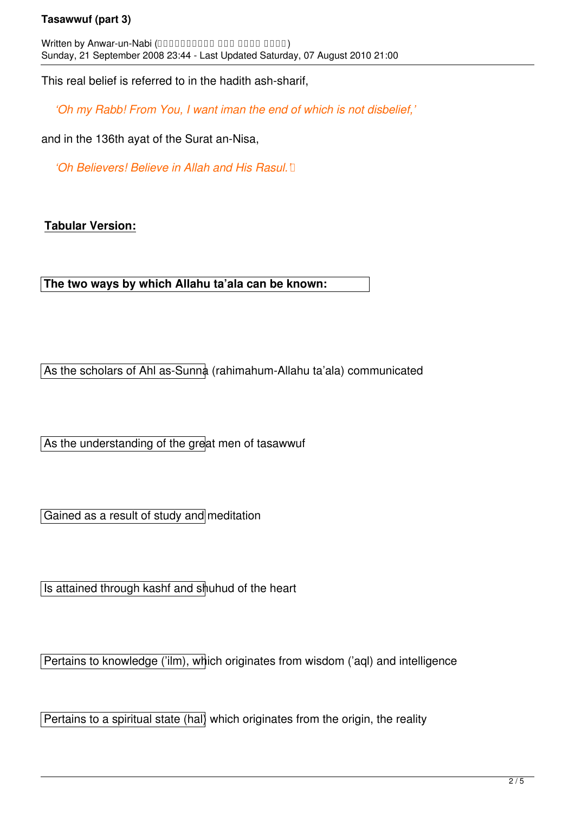## **Tasawwuf (part 3)**

Written by Anwar-un-Nabi (0000000000 000 0000 0000) Sunday, 21 September 2008 23:44 - Last Updated Saturday, 07 August 2010 21:00

This real belief is referred to in the hadith ash-sharif,

*'Oh my Rabb! From You, I want iman the end of which is not disbelief,'*

and in the 136th ayat of the Surat an-Nisa,

*'Oh Believers! Believe in Allah and His Rasul.'* [1]

## **Tabular Version:**

**The two ways by which Allahu ta'ala can be known:**

As the scholars of Ahl as-Sunna (rahimahum-Allahu ta'ala) communicated

As the understanding of the great men of tasawwuf

Gained as a result of study and meditation

Is attained through kashf and shuhud of the heart

Pertains to knowledge ('ilm), which originates from wisdom ('aql) and intelligence

Pertains to a spiritual state (hal) which originates from the origin, the reality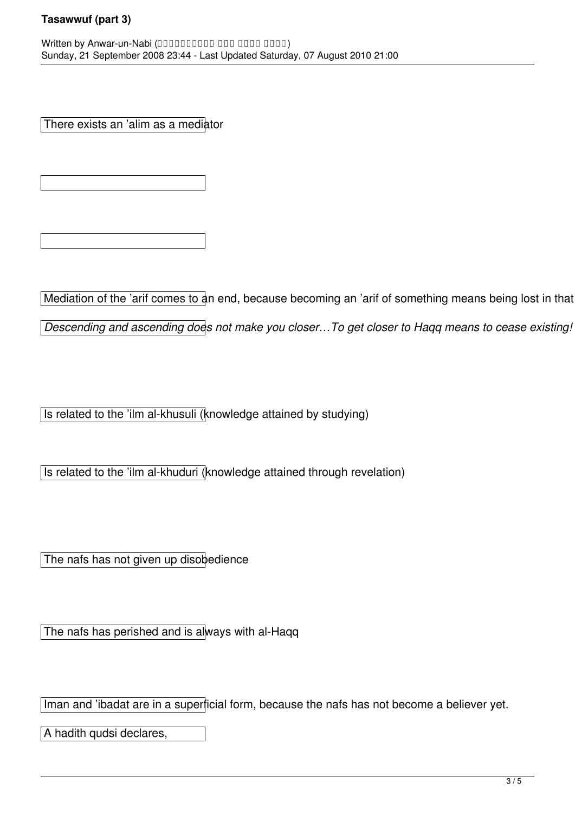There exists an 'alim as a mediator

Mediation of the 'arif comes to an end, because becoming an 'arif of something means being lost in that

*Descending and ascending does not make you closer…To get closer to Haqq means to cease existing!* 

Is related to the 'ilm al-khusuli (knowledge attained by studying)

Is related to the 'ilm al-khuduri (knowledge attained through revelation)

The nafs has not given up disobedience

The nafs has perished and is always with al-Haqq

Iman and 'ibadat are in a superficial form, because the nafs has not become a believer yet.

A hadith qudsi declares,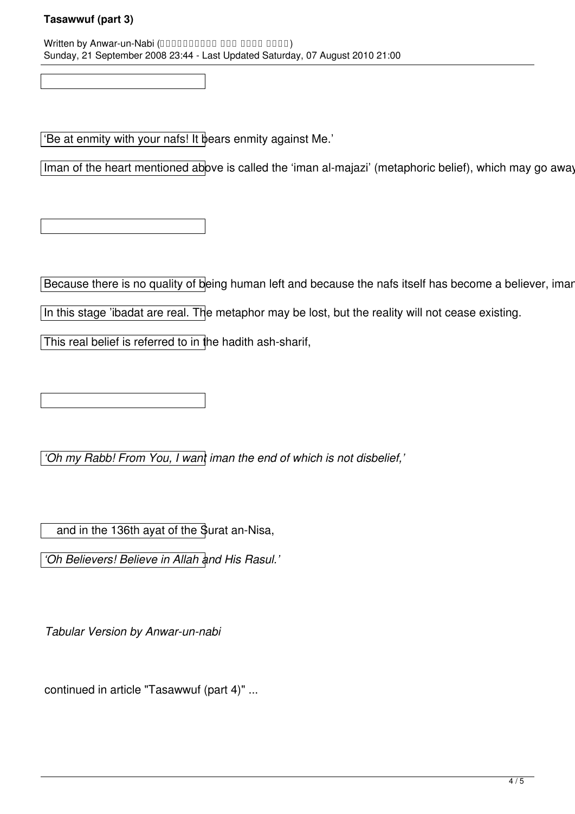Written by Anwar-un-Nabi (0000000000 000 0000 0000) Sunday, 21 September 2008 23:44 - Last Updated Saturday, 07 August 2010 21:00

'Be at enmity with your nafs! It bears enmity against Me.'

Iman of the heart mentioned above is called the 'iman al-majazi' (metaphoric belief), which may go away

Because there is no quality of being human left and because the nafs itself has become a believer, imar

In this stage 'ibadat are real. The metaphor may be lost, but the reality will not cease existing.

This real belief is referred to in the hadith ash-sharif,

*'Oh my Rabb! From You, I want iman the end of which is not disbelief,'*

and in the 136th ayat of the Surat an-Nisa,

*'Oh Believers! Believe in Allah and His Rasul.'*

*Tabular Version by Anwar-un-nabi* 

continued in article "Tasawwuf (part 4)" ...